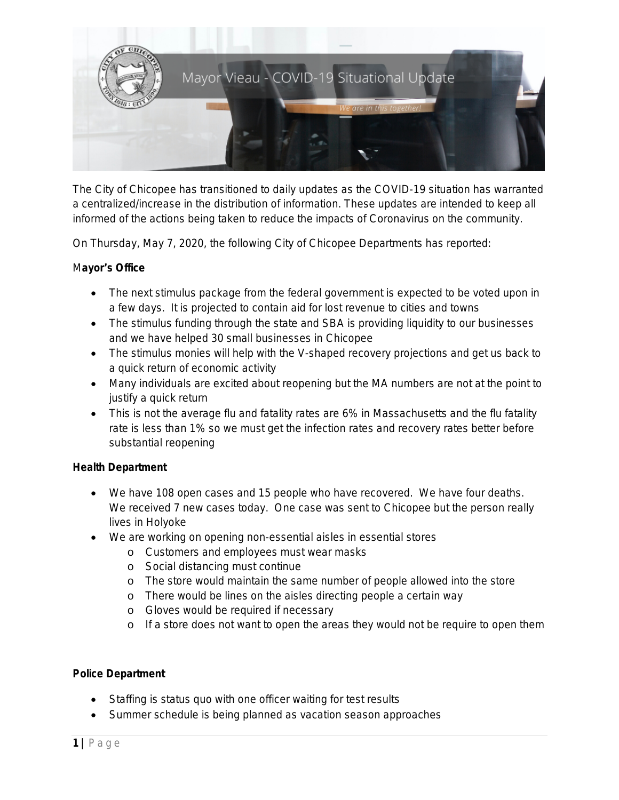

The City of Chicopee has transitioned to daily updates as the COVID-19 situation has warranted a centralized/increase in the distribution of information. These updates are intended to keep all informed of the actions being taken to reduce the impacts of Coronavirus on the community.

On Thursday, May 7, 2020, the following City of Chicopee Departments has reported:

## M**ayor**'**s Office**

- The next stimulus package from the federal government is expected to be voted upon in a few days. It is projected to contain aid for lost revenue to cities and towns
- The stimulus funding through the state and SBA is providing liquidity to our businesses and we have helped 30 small businesses in Chicopee
- The stimulus monies will help with the V-shaped recovery projections and get us back to a quick return of economic activity
- Many individuals are excited about reopening but the MA numbers are not at the point to justify a quick return
- This is not the average flu and fatality rates are 6% in Massachusetts and the flu fatality rate is less than 1% so we must get the infection rates and recovery rates better before substantial reopening

## **Health Department**

- We have 108 open cases and 15 people who have recovered. We have four deaths. We received 7 new cases today. One case was sent to Chicopee but the person really lives in Holyoke
- We are working on opening non-essential aisles in essential stores
	- o Customers and employees must wear masks
	- o Social distancing must continue
	- o The store would maintain the same number of people allowed into the store
	- o There would be lines on the aisles directing people a certain way
	- o Gloves would be required if necessary
	- o If a store does not want to open the areas they would not be require to open them

## **Police Department**

- Staffing is status quo with one officer waiting for test results
- Summer schedule is being planned as vacation season approaches